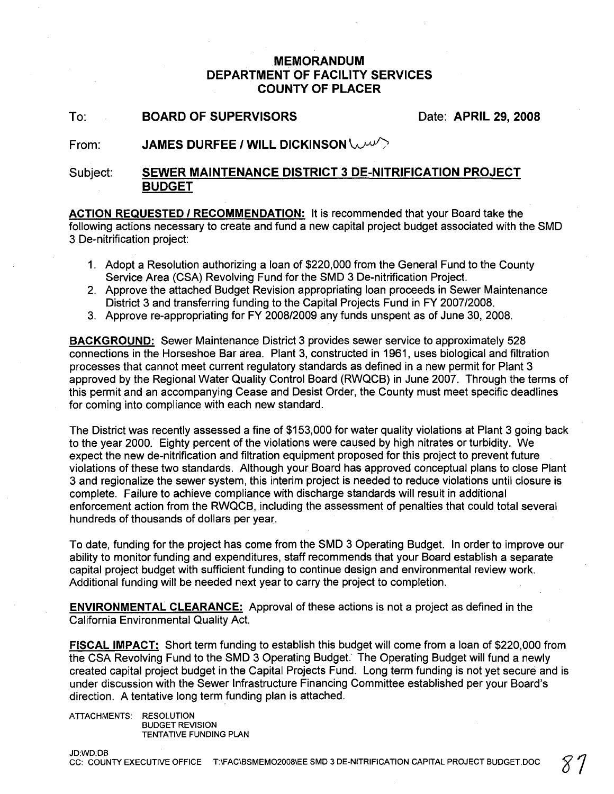## **MEMORANDUM DEPARTMENT OF FACILITY SERVICES COUNTY OF PLACER**

To: **BOARD OF SUPERVISORS** Date: **APRIL 29, 2008**

#### From: **JAMES DURFEE I WILL DICKINSON**

#### Subject: **SEWER MAINTENANCE DISTRICT 3 DE-NITRIFICATION PROJECT BUDGET**

**ACTION REQUESTED 1RECOMMENDATION:** It is recommended that your Board take the following actions necessary to create and fund a new capital project budget associated with the SMD 3 De-nitrification project:

- 1. Adopt a Resolution authorizing a loan of \$220,000 from the General Fund to the County Service Area (CSA) Revolving Fund for the SMD 3 De-nitrification Project.
- 2. Approve the attached Budget Revision appropriating loan proceeds in Sewer Maintenance District 3 and transferring funding to the Capital Projects Fund in FY *2007/2008.*
- 3. Approve re-appropriating for FY *2008/2009* any funds unspent as of June 30, 2008.

**BACKGROUND:** Sewer Maintenance District 3 provides sewer service to approximately 528 connections in the Horseshoe Bar area. Plant 3, constructed in 1961, uses biological and filtration processes that cannot meet current regulatory standards as defined in a new permit for Plant 3 approved by the Regional Water Quality Control Board (RWQCB) in June 2007. Through the terms of this permit and an accompanying Cease and Desist Order, the County must meet specific deadlines for coming into compliance with each new standard.

The District was recently assessed a fine of \$153,000 for water quality violations at Plant 3 going back to the year 2000. Eighty percent of the violations were caused by high nitrates or turbidity. We expect the new de-nitrification and filtration equipment proposed for this project to prevent future violations of these two standards. Although your Board has approved conceptual plans to close Plant 3 and regionalize the sewer system, this interim project is needed to reduce violations until closure is complete. Failure to achieve compliance with discharge standards will result in additional enforcement action from the RWQCB, including the assessment of penalties that could total several hundreds of thousands of dollars per year.

To date, funding for the project has come from the SMD 3 Operating Budget. In order to improve our ability to monitor funding and expenditures, staff recommends that your Board establish a separate capital project budget with sufficient funding to continue design and environmental review work. Additional funding will be needed next year to carry the project to completion.

**ENVIRONMENTAL CLEARANCE:** Approval of these actions is not a project as defined in the California Environmental Quality Act.

**FISCAL IMPACT:** Short term funding to establish this budget will come from a loan of \$220,000 from the CSA Revolving Fund to the SMD 3 Operating Budget. The Operating Budget will fund a newly created capital project budget in the Capital Projects Fund. Long term funding is not yet secure and is under discussion with the Sewer Infrastructure Financing Committee established per your Board's direction. A tentative long term funding plan is attached.

ATTACHMENTS: RESOLUTION BUDGET REVISION TENTATIVE FUNDING PLAN

JD:WD:DB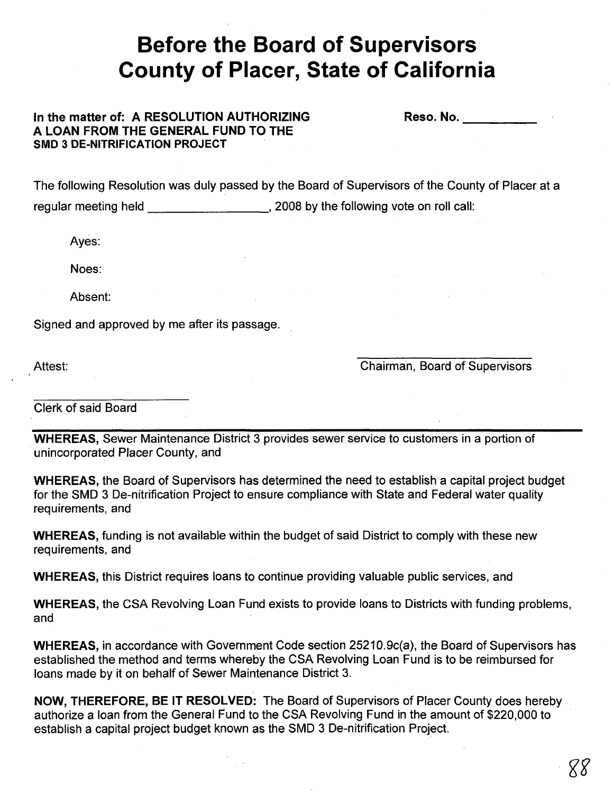# **Before the Board of Supervisors County of Placer, State of California**

### In the matter of: A RESOLUTION AUTHORIZING A LOAN FROM THE GENERAL FUND TO THE SMD 3 DE-NITRIFICATION PROJECT

Reso. No. **Example** 

The following Resolution was duly passed by the Board of Supervisors of the County of Placer at a regular meeting held , 2008 by the following vote on roll call:

Ayes:

Noes:

Absent:

Signed and approved by me after its passage.

Attest:

Chairman, Board of Supervisors

Clerk of said Board

WHEREAS, Sewer Maintenance District 3 provides sewer service to customers in a portion of unincorporated Placer County, and

WHEREAS, the Board of Supervisors has determined the need to establish a capital project budget for the SMD 3 De-nitrification Project to ensure compliance with State and Federal water quality requirements, and

WHEREAS, funding is not available within the budget of said District to comply with these new requirements, and

WHEREAS, this District requires loans to continue providing valuable public services, and

WHEREAS, the CSA Revolving Loan Fund exists to provide loans to Districts with funding problems, and

WHEREAS, in accordance with Government Code section 25210.9c(a), the Board of Supervisors has established the method and terms whereby the CSA Revolving Loan Fund is to be reimbursed for loans made by it on behalf of Sewer Maintenance District 3.

NOW, THEREFORE, BE IT RESOLVED: The Board of Supervisors of Placer County does hereby authorize a loan from the General Fund to the CSA Revolving Fund in the amount of \$220,000 to establish a capital project budget known as the SMD 3 De-nitrification Project.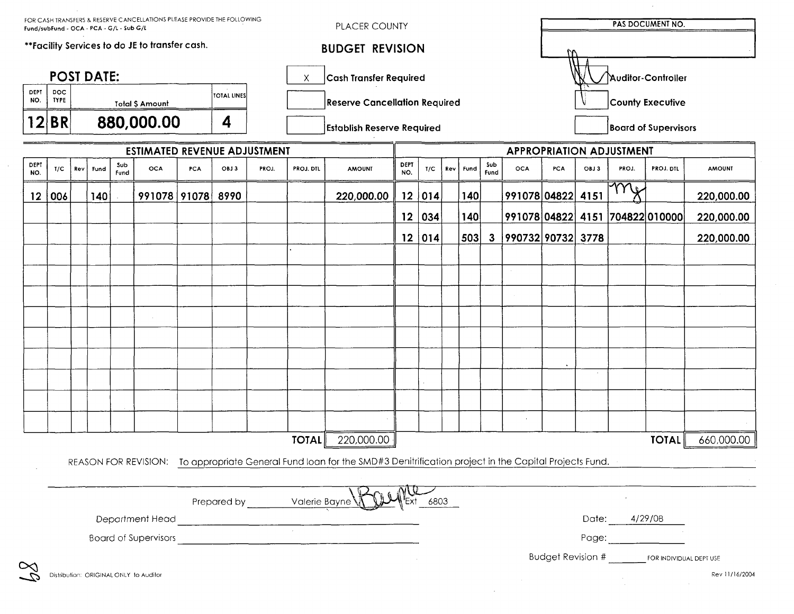| PLACER COUNTY<br>Fund/subFund - OCA - PCA - G/L - Sub G/L<br>**Facility Services to do JE to transfer cash. |                           |            |                                                      |             |                                        |             |                        |                                 |                               |                                                                                                                                                                                                                                      |                 |        |     |                             |              |                                 |                    |      |               |                                                  |                |
|-------------------------------------------------------------------------------------------------------------|---------------------------|------------|------------------------------------------------------|-------------|----------------------------------------|-------------|------------------------|---------------------------------|-------------------------------|--------------------------------------------------------------------------------------------------------------------------------------------------------------------------------------------------------------------------------------|-----------------|--------|-----|-----------------------------|--------------|---------------------------------|--------------------|------|---------------|--------------------------------------------------|----------------|
|                                                                                                             |                           |            |                                                      |             |                                        |             | <b>BUDGET REVISION</b> |                                 |                               |                                                                                                                                                                                                                                      |                 |        |     |                             |              |                                 |                    |      |               |                                                  |                |
| <b>POST DATE:</b><br>Χ                                                                                      |                           |            |                                                      |             |                                        |             |                        |                                 | <b>Cash Transfer Required</b> |                                                                                                                                                                                                                                      |                 |        |     |                             |              |                                 | Auditor-Controller |      |               |                                                  |                |
| DEPT<br>NO.                                                                                                 | <b>DOC</b><br><b>TYPE</b> |            |                                                      |             | <b>Total \$ Amount</b>                 | TOTAL LINES |                        |                                 |                               | <b>Reserve Cancellation Required</b>                                                                                                                                                                                                 |                 |        |     |                             |              | <b>County Executive</b>         |                    |      |               |                                                  |                |
| 12 BR                                                                                                       |                           |            | 880,000.00<br>4<br><b>Establish Reserve Required</b> |             |                                        |             |                        |                                 |                               |                                                                                                                                                                                                                                      |                 |        |     | <b>Board of Supervisors</b> |              |                                 |                    |      |               |                                                  |                |
| <b>ESTIMATED REVENUE ADJUSTMENT</b>                                                                         |                           |            |                                                      |             |                                        |             |                        | <b>APPROPRIATION ADJUSTMENT</b> |                               |                                                                                                                                                                                                                                      |                 |        |     |                             |              |                                 |                    |      |               |                                                  |                |
| DEPT<br>NO.                                                                                                 | T/C                       | <b>Rev</b> | Fund                                                 | Sub<br>Fund | <b>OCA</b>                             | <b>PCA</b>  | OBJ3                   | PROJ.                           | PROJ. DTL                     | <b>AMOUNT</b>                                                                                                                                                                                                                        | DEPT<br>NO.     | T/C    | Rev | <b>Fund</b>                 | Sub<br>Fund  | <b>OCA</b>                      | <b>PCA</b>         | OBJ3 | PROJ.         | <b>PROJ. DTL</b>                                 | <b>AMOUNT</b>  |
| $12 \overline{ }$                                                                                           | 006                       |            | 140                                                  |             | 991078 91078                           |             | 8990                   |                                 |                               | 220,000.00                                                                                                                                                                                                                           |                 | 12 014 |     | 140                         |              | 991078 04822                    |                    | 4151 | mi            |                                                  | 220,000.00     |
|                                                                                                             |                           |            |                                                      |             |                                        |             |                        |                                 |                               |                                                                                                                                                                                                                                      | 12 <sub>2</sub> | 034    |     | 140                         |              | 991078 04822 4151 704822 010000 |                    |      |               |                                                  | 220,000.00     |
|                                                                                                             |                           |            |                                                      |             |                                        |             |                        |                                 |                               |                                                                                                                                                                                                                                      |                 | 12 014 |     | 503                         | $\mathbf{3}$ | 990732 90732 3778               |                    |      |               |                                                  | 220,000.00     |
|                                                                                                             |                           |            |                                                      |             |                                        |             |                        |                                 |                               |                                                                                                                                                                                                                                      |                 |        |     |                             |              |                                 |                    |      |               |                                                  |                |
|                                                                                                             |                           |            |                                                      |             |                                        |             |                        |                                 |                               |                                                                                                                                                                                                                                      |                 |        |     |                             |              |                                 |                    |      |               |                                                  |                |
|                                                                                                             |                           |            |                                                      |             |                                        |             |                        |                                 |                               |                                                                                                                                                                                                                                      |                 |        |     |                             |              |                                 |                    |      |               |                                                  |                |
|                                                                                                             |                           |            |                                                      |             |                                        |             |                        |                                 |                               |                                                                                                                                                                                                                                      |                 |        |     |                             |              |                                 |                    |      |               |                                                  |                |
|                                                                                                             |                           |            |                                                      |             |                                        |             |                        |                                 |                               |                                                                                                                                                                                                                                      |                 |        |     |                             |              |                                 |                    |      |               |                                                  |                |
|                                                                                                             |                           |            |                                                      |             |                                        |             |                        |                                 |                               |                                                                                                                                                                                                                                      |                 |        |     |                             |              |                                 |                    |      |               |                                                  |                |
|                                                                                                             |                           |            |                                                      |             |                                        |             |                        |                                 |                               |                                                                                                                                                                                                                                      |                 |        |     |                             |              |                                 |                    |      |               |                                                  |                |
|                                                                                                             |                           |            |                                                      |             |                                        |             |                        |                                 |                               |                                                                                                                                                                                                                                      |                 |        |     |                             |              |                                 |                    |      |               |                                                  |                |
|                                                                                                             |                           |            |                                                      |             |                                        |             |                        |                                 |                               |                                                                                                                                                                                                                                      |                 |        |     |                             |              | $\sim$                          |                    |      |               |                                                  |                |
|                                                                                                             |                           |            |                                                      |             |                                        |             |                        |                                 | <b>TOTAL</b>                  | 220,000.00                                                                                                                                                                                                                           |                 |        |     |                             |              |                                 |                    |      |               | <b>TOTAL</b>                                     | 660,000.00     |
|                                                                                                             |                           |            |                                                      |             |                                        |             |                        |                                 |                               | REASON FOR REVISION: To appropriate General Fund loan for the SMD#3 Denitrification project in the Capital Projects Fund.                                                                                                            |                 |        |     |                             |              |                                 |                    |      |               |                                                  |                |
|                                                                                                             |                           |            |                                                      |             |                                        |             |                        |                                 |                               |                                                                                                                                                                                                                                      |                 |        |     |                             |              |                                 |                    |      |               |                                                  |                |
|                                                                                                             |                           |            |                                                      |             |                                        |             |                        |                                 | Prepared by Valerie Bayne     |                                                                                                                                                                                                                                      |                 | 6803   |     |                             |              |                                 |                    |      |               |                                                  |                |
|                                                                                                             |                           |            |                                                      |             | Department Head                        |             |                        |                                 |                               |                                                                                                                                                                                                                                      |                 |        |     |                             |              |                                 |                    |      | Date: 4/29/08 |                                                  |                |
|                                                                                                             |                           |            |                                                      |             |                                        |             |                        |                                 |                               | Board of Supervisors <b>Constanting Constanting Constanting Constanting Constanting Constanting Constanting Constanting Constanting Constanting Constanting Constanting Constanting Constanting Constanting Constanting Constant</b> |                 |        |     |                             |              |                                 |                    |      |               | Page: Page:                                      |                |
|                                                                                                             |                           |            |                                                      |             |                                        |             |                        |                                 |                               |                                                                                                                                                                                                                                      |                 |        |     |                             |              |                                 |                    |      |               | <b>Budget Revision #</b> FOR INDIVIDUAL DEPT USE |                |
| 22<br>- 22<br>- 22                                                                                          |                           |            |                                                      |             | Distribution: ORIGINAL ONLY to Auditor |             |                        |                                 |                               |                                                                                                                                                                                                                                      |                 |        |     |                             |              |                                 |                    |      |               |                                                  | Rev 11/16/2004 |